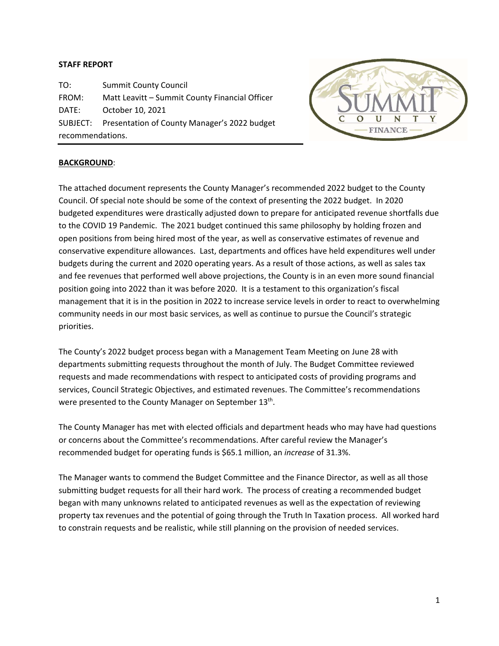# **STAFF REPORT**

TO: Summit County Council FROM: Matt Leavitt – Summit County Financial Officer DATE: October 10, 2021 SUBJECT: Presentation of County Manager's 2022 budget recommendations.



# **BACKGROUND**:

The attached document represents the County Manager's recommended 2022 budget to the County Council. Of special note should be some of the context of presenting the 2022 budget. In 2020 budgeted expenditures were drastically adjusted down to prepare for anticipated revenue shortfalls due to the COVID 19 Pandemic. The 2021 budget continued this same philosophy by holding frozen and open positions from being hired most of the year, as well as conservative estimates of revenue and conservative expenditure allowances. Last, departments and offices have held expenditures well under budgets during the current and 2020 operating years. As a result of those actions, as well as sales tax and fee revenues that performed well above projections, the County is in an even more sound financial position going into 2022 than it was before 2020. It is a testament to this organization's fiscal management that it is in the position in 2022 to increase service levels in order to react to overwhelming community needs in our most basic services, as well as continue to pursue the Council's strategic priorities.

The County's 2022 budget process began with a Management Team Meeting on June 28 with departments submitting requests throughout the month of July. The Budget Committee reviewed requests and made recommendations with respect to anticipated costs of providing programs and services, Council Strategic Objectives, and estimated revenues. The Committee's recommendations were presented to the County Manager on September 13<sup>th</sup>.

The County Manager has met with elected officials and department heads who may have had questions or concerns about the Committee's recommendations. After careful review the Manager's recommended budget for operating funds is \$65.1 million, an *increase* of 31.3%.

The Manager wants to commend the Budget Committee and the Finance Director, as well as all those submitting budget requests for all their hard work. The process of creating a recommended budget began with many unknowns related to anticipated revenues as well as the expectation of reviewing property tax revenues and the potential of going through the Truth In Taxation process. All worked hard to constrain requests and be realistic, while still planning on the provision of needed services.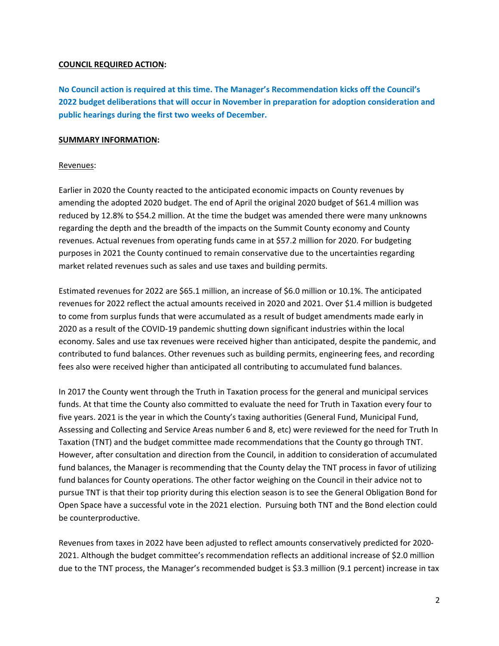# **COUNCIL REQUIRED ACTION:**

**No Council action is required at this time. The Manager's Recommendation kicks off the Council's 2022 budget deliberations that will occur in November in preparation for adoption consideration and public hearings during the first two weeks of December.** 

# **SUMMARY INFORMATION:**

# Revenues:

Earlier in 2020 the County reacted to the anticipated economic impacts on County revenues by amending the adopted 2020 budget. The end of April the original 2020 budget of \$61.4 million was reduced by 12.8% to \$54.2 million. At the time the budget was amended there were many unknowns regarding the depth and the breadth of the impacts on the Summit County economy and County revenues. Actual revenues from operating funds came in at \$57.2 million for 2020. For budgeting purposes in 2021 the County continued to remain conservative due to the uncertainties regarding market related revenues such as sales and use taxes and building permits.

Estimated revenues for 2022 are \$65.1 million, an increase of \$6.0 million or 10.1%. The anticipated revenues for 2022 reflect the actual amounts received in 2020 and 2021. Over \$1.4 million is budgeted to come from surplus funds that were accumulated as a result of budget amendments made early in 2020 as a result of the COVID‐19 pandemic shutting down significant industries within the local economy. Sales and use tax revenues were received higher than anticipated, despite the pandemic, and contributed to fund balances. Other revenues such as building permits, engineering fees, and recording fees also were received higher than anticipated all contributing to accumulated fund balances.

In 2017 the County went through the Truth in Taxation process for the general and municipal services funds. At that time the County also committed to evaluate the need for Truth in Taxation every four to five years. 2021 is the year in which the County's taxing authorities (General Fund, Municipal Fund, Assessing and Collecting and Service Areas number 6 and 8, etc) were reviewed for the need for Truth In Taxation (TNT) and the budget committee made recommendations that the County go through TNT. However, after consultation and direction from the Council, in addition to consideration of accumulated fund balances, the Manager is recommending that the County delay the TNT process in favor of utilizing fund balances for County operations. The other factor weighing on the Council in their advice not to pursue TNT is that their top priority during this election season is to see the General Obligation Bond for Open Space have a successful vote in the 2021 election. Pursuing both TNT and the Bond election could be counterproductive.

Revenues from taxes in 2022 have been adjusted to reflect amounts conservatively predicted for 2020‐ 2021. Although the budget committee's recommendation reflects an additional increase of \$2.0 million due to the TNT process, the Manager's recommended budget is \$3.3 million (9.1 percent) increase in tax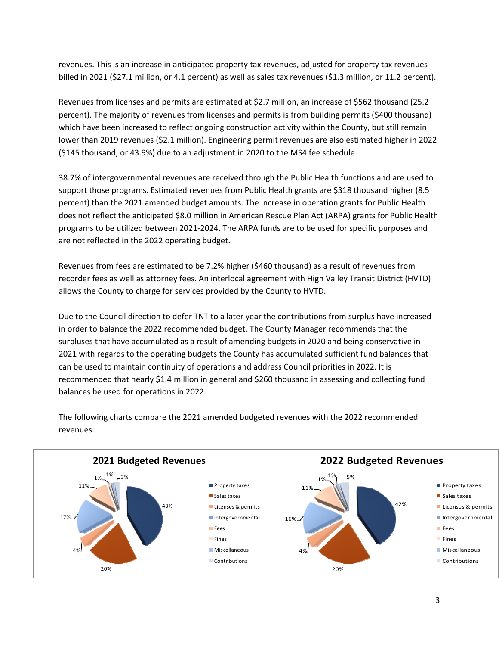revenues. This is an increase in anticipated property tax revenues, adjusted for property tax revenues billed in 2021 (\$27.1 million, or 4.1 percent) as well as sales tax revenues (\$1.3 million, or 11.2 percent).

Revenues from licenses and permits are estimated at \$2.7 million, an increase of \$562 thousand (25.2 percent). The majority of revenues from licenses and permits is from building permits (\$400 thousand) which have been increased to reflect ongoing construction activity within the County, but still remain lower than 2019 revenues (\$2.1 million). Engineering permit revenues are also estimated higher in 2022 (\$145 thousand, or 43.9%) due to an adjustment in 2020 to the MS4 fee schedule.

38.7% of intergovernmental revenues are received through the Public Health functions and are used to support those programs. Estimated revenues from Public Health grants are \$318 thousand higher (8.5 percent) than the 2021 amended budget amounts. The increase in operation grants for Public Health does not reflect the anticipated \$8.0 million in American Rescue Plan Act (ARPA) grants for Public Health programs to be utilized between 2021‐2024. The ARPA funds are to be used for specific purposes and are not reflected in the 2022 operating budget.

Revenues from fees are estimated to be 7.2% higher (\$460 thousand) as a result of revenues from recorder fees as well as attorney fees. An interlocal agreement with High Valley Transit District (HVTD) allows the County to charge for services provided by the County to HVTD.

Due to the Council direction to defer TNT to a later year the contributions from surplus have increased in order to balance the 2022 recommended budget. The County Manager recommends that the surpluses that have accumulated as a result of amending budgets in 2020 and being conservative in 2021 with regards to the operating budgets the County has accumulated sufficient fund balances that can be used to maintain continuity of operations and address Council priorities in 2022. It is recommended that nearly \$1.4 million in general and \$260 thousand in assessing and collecting fund balances be used for operations in 2022.



The following charts compare the 2021 amended budgeted revenues with the 2022 recommended revenues.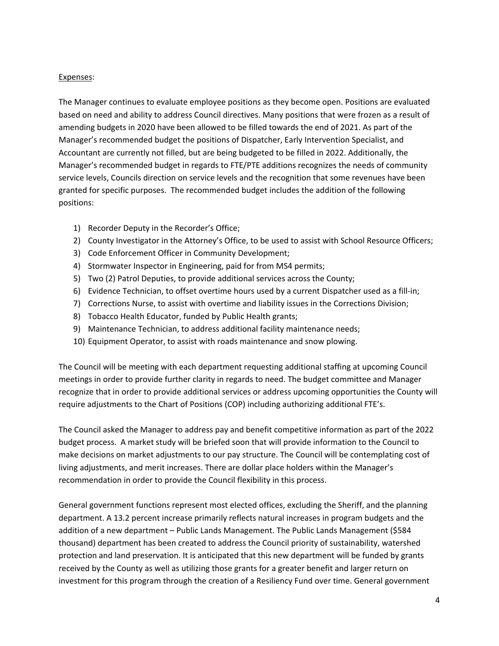# Expenses:

The Manager continues to evaluate employee positions as they become open. Positions are evaluated based on need and ability to address Council directives. Many positions that were frozen as a result of amending budgets in 2020 have been allowed to be filled towards the end of 2021. As part of the Manager's recommended budget the positions of Dispatcher, Early Intervention Specialist, and Accountant are currently not filled, but are being budgeted to be filled in 2022. Additionally, the Manager's recommended budget in regards to FTE/PTE additions recognizes the needs of community service levels, Councils direction on service levels and the recognition that some revenues have been granted for specific purposes. The recommended budget includes the addition of the following positions:

- 1) Recorder Deputy in the Recorder's Office;
- 2) County Investigator in the Attorney's Office, to be used to assist with School Resource Officers;
- 3) Code Enforcement Officer in Community Development;
- 4) Stormwater Inspector in Engineering, paid for from MS4 permits;
- 5) Two (2) Patrol Deputies, to provide additional services across the County;
- 6) Evidence Technician, to offset overtime hours used by a current Dispatcher used as a fill‐in;
- 7) Corrections Nurse, to assist with overtime and liability issues in the Corrections Division;
- 8) Tobacco Health Educator, funded by Public Health grants;
- 9) Maintenance Technician, to address additional facility maintenance needs;
- 10) Equipment Operator, to assist with roads maintenance and snow plowing.

The Council will be meeting with each department requesting additional staffing at upcoming Council meetings in order to provide further clarity in regards to need. The budget committee and Manager recognize that in order to provide additional services or address upcoming opportunities the County will require adjustments to the Chart of Positions (COP) including authorizing additional FTE's.

The Council asked the Manager to address pay and benefit competitive information as part of the 2022 budget process. A market study will be briefed soon that will provide information to the Council to make decisions on market adjustments to our pay structure. The Council will be contemplating cost of living adjustments, and merit increases. There are dollar place holders within the Manager's recommendation in order to provide the Council flexibility in this process.

General government functions represent most elected offices, excluding the Sheriff, and the planning department. A 13.2 percent increase primarily reflects natural increases in program budgets and the addition of a new department – Public Lands Management. The Public Lands Management (\$584 thousand) department has been created to address the Council priority of sustainability, watershed protection and land preservation. It is anticipated that this new department will be funded by grants received by the County as well as utilizing those grants for a greater benefit and larger return on investment for this program through the creation of a Resiliency Fund over time. General government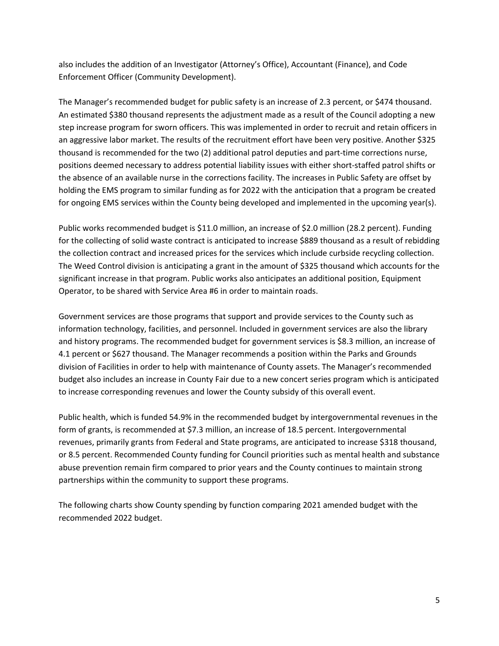also includes the addition of an Investigator (Attorney's Office), Accountant (Finance), and Code Enforcement Officer (Community Development).

The Manager's recommended budget for public safety is an increase of 2.3 percent, or \$474 thousand. An estimated \$380 thousand represents the adjustment made as a result of the Council adopting a new step increase program for sworn officers. This was implemented in order to recruit and retain officers in an aggressive labor market. The results of the recruitment effort have been very positive. Another \$325 thousand is recommended for the two (2) additional patrol deputies and part‐time corrections nurse, positions deemed necessary to address potential liability issues with either short‐staffed patrol shifts or the absence of an available nurse in the corrections facility. The increases in Public Safety are offset by holding the EMS program to similar funding as for 2022 with the anticipation that a program be created for ongoing EMS services within the County being developed and implemented in the upcoming year(s).

Public works recommended budget is \$11.0 million, an increase of \$2.0 million (28.2 percent). Funding for the collecting of solid waste contract is anticipated to increase \$889 thousand as a result of rebidding the collection contract and increased prices for the services which include curbside recycling collection. The Weed Control division is anticipating a grant in the amount of \$325 thousand which accounts for the significant increase in that program. Public works also anticipates an additional position, Equipment Operator, to be shared with Service Area #6 in order to maintain roads.

Government services are those programs that support and provide services to the County such as information technology, facilities, and personnel. Included in government services are also the library and history programs. The recommended budget for government services is \$8.3 million, an increase of 4.1 percent or \$627 thousand. The Manager recommends a position within the Parks and Grounds division of Facilities in order to help with maintenance of County assets. The Manager's recommended budget also includes an increase in County Fair due to a new concert series program which is anticipated to increase corresponding revenues and lower the County subsidy of this overall event.

Public health, which is funded 54.9% in the recommended budget by intergovernmental revenues in the form of grants, is recommended at \$7.3 million, an increase of 18.5 percent. Intergovernmental revenues, primarily grants from Federal and State programs, are anticipated to increase \$318 thousand, or 8.5 percent. Recommended County funding for Council priorities such as mental health and substance abuse prevention remain firm compared to prior years and the County continues to maintain strong partnerships within the community to support these programs.

The following charts show County spending by function comparing 2021 amended budget with the recommended 2022 budget.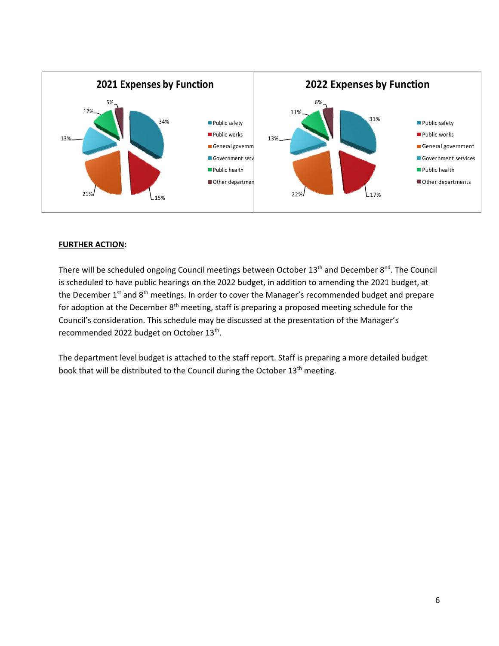

# **FURTHER ACTION:**

There will be scheduled ongoing Council meetings between October 13<sup>th</sup> and December 8<sup>nd</sup>. The Council is scheduled to have public hearings on the 2022 budget, in addition to amending the 2021 budget, at the December 1<sup>st</sup> and 8<sup>th</sup> meetings. In order to cover the Manager's recommended budget and prepare for adoption at the December  $8<sup>th</sup>$  meeting, staff is preparing a proposed meeting schedule for the Council's consideration. This schedule may be discussed at the presentation of the Manager's recommended 2022 budget on October 13th.

The department level budget is attached to the staff report. Staff is preparing a more detailed budget book that will be distributed to the Council during the October 13<sup>th</sup> meeting.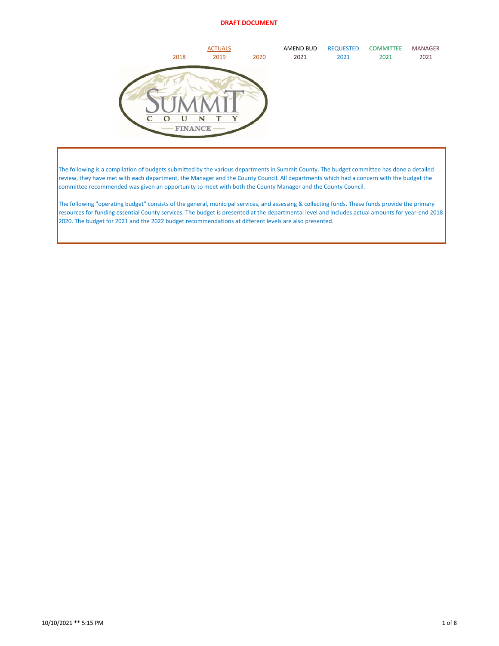| 2018                     | <b>ACTUALS</b><br>2019 | 2020 | AMEND BUD<br>2021 | <b>REQUESTED</b><br>2021 | <b>COMMITTEE</b><br>2021 | <b>MANAGER</b><br>2021 |
|--------------------------|------------------------|------|-------------------|--------------------------|--------------------------|------------------------|
| U<br>O<br><b>FINANCE</b> | N                      |      |                   |                          |                          |                        |

The following is a compilation of budgets submitted by the various departments in Summit County. The budget committee has done a detailed review, they have met with each department, the Manager and the County Council. All departments which had a concern with the budget the committee recommended was given an opportunity to meet with both the County Manager and the County Council.

The following "operating budget" consists of the general, municipal services, and assessing & collecting funds. These funds provide the primary resources for funding essential County services. The budget is presented at the departmental level and includes actual amounts for year-end 2018 2020. The budget for 2021 and the 2022 budget recommendations at different levels are also presented.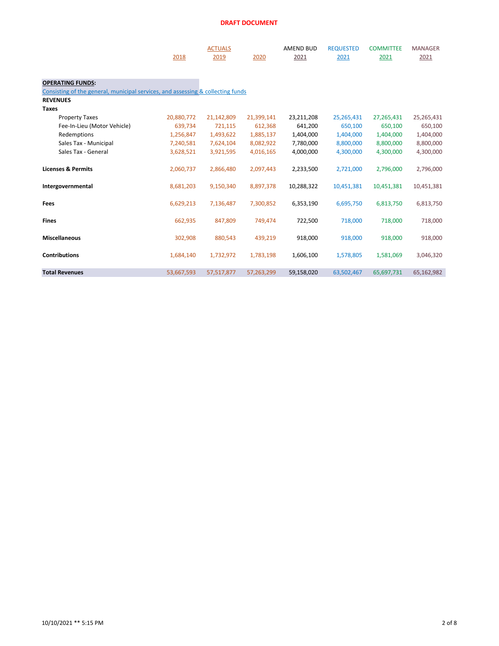|                                                                                 | 2018       | <b>ACTUALS</b><br>2019 | 2020       | <b>AMEND BUD</b><br>2021 | <b>REQUESTED</b><br>2021 | <b>COMMITTEE</b><br>2021 | <b>MANAGER</b><br>2021 |
|---------------------------------------------------------------------------------|------------|------------------------|------------|--------------------------|--------------------------|--------------------------|------------------------|
| <b>OPERATING FUNDS:</b>                                                         |            |                        |            |                          |                          |                          |                        |
| Consisting of the general, municipal services, and assessing & collecting funds |            |                        |            |                          |                          |                          |                        |
| <b>REVENUES</b>                                                                 |            |                        |            |                          |                          |                          |                        |
| <b>Taxes</b>                                                                    |            |                        |            |                          |                          |                          |                        |
| <b>Property Taxes</b>                                                           | 20,880,772 | 21,142,809             | 21,399,141 | 23,211,208               | 25,265,431               | 27,265,431               | 25,265,431             |
| Fee-In-Lieu (Motor Vehicle)                                                     | 639,734    | 721,115                | 612,368    | 641,200                  | 650,100                  | 650,100                  | 650,100                |
| Redemptions                                                                     | 1,256,847  | 1,493,622              | 1,885,137  | 1,404,000                | 1,404,000                | 1,404,000                | 1,404,000              |
| Sales Tax - Municipal                                                           | 7,240,581  | 7,624,104              | 8,082,922  | 7,780,000                | 8,800,000                | 8,800,000                | 8,800,000              |
| Sales Tax - General                                                             | 3,628,521  | 3,921,595              | 4,016,165  | 4,000,000                | 4,300,000                | 4,300,000                | 4,300,000              |
| <b>Licenses &amp; Permits</b>                                                   | 2,060,737  | 2,866,480              | 2,097,443  | 2,233,500                | 2,721,000                | 2,796,000                | 2,796,000              |
| Intergovernmental                                                               | 8,681,203  | 9,150,340              | 8,897,378  | 10,288,322               | 10,451,381               | 10,451,381               | 10,451,381             |
| Fees                                                                            | 6,629,213  | 7,136,487              | 7,300,852  | 6,353,190                | 6,695,750                | 6,813,750                | 6,813,750              |
| <b>Fines</b>                                                                    | 662,935    | 847,809                | 749,474    | 722,500                  | 718,000                  | 718,000                  | 718,000                |
| <b>Miscellaneous</b>                                                            | 302,908    | 880,543                | 439,219    | 918,000                  | 918,000                  | 918,000                  | 918,000                |
| <b>Contributions</b>                                                            | 1,684,140  | 1,732,972              | 1,783,198  | 1,606,100                | 1,578,805                | 1,581,069                | 3,046,320              |
| <b>Total Revenues</b>                                                           | 53,667,593 | 57,517,877             | 57,263,299 | 59,158,020               | 63,502,467               | 65,697,731               | 65,162,982             |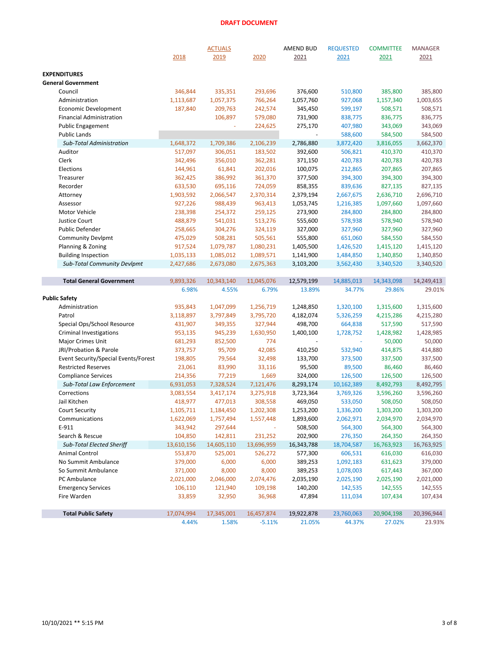|                                      |            | <b>ACTUALS</b> |            | <b>AMEND BUD</b> | <b>REQUESTED</b> | <b>COMMITTEE</b> | <b>MANAGER</b> |
|--------------------------------------|------------|----------------|------------|------------------|------------------|------------------|----------------|
|                                      | 2018       | 2019           | 2020       | 2021             | 2021             | 2021             | 2021           |
| <b>EXPENDITURES</b>                  |            |                |            |                  |                  |                  |                |
| <b>General Government</b>            |            |                |            |                  |                  |                  |                |
| Council                              | 346,844    | 335,351        | 293,696    | 376,600          | 510,800          | 385,800          | 385,800        |
| Administration                       | 1,113,687  | 1,057,375      | 766,264    | 1,057,760        | 927,068          | 1,157,340        | 1,003,655      |
| <b>Economic Development</b>          | 187,840    | 209,763        | 242,574    | 345,450          | 599,197          | 508,571          | 508,571        |
| <b>Financial Administration</b>      |            | 106,897        | 579,080    | 731,900          | 838,775          | 836,775          | 836,775        |
| <b>Public Engagement</b>             |            |                | 224,625    | 275,170          | 407,980          | 343,069          | 343,069        |
| <b>Public Lands</b>                  |            |                |            |                  | 588,600          | 584,500          | 584,500        |
| <b>Sub-Total Administration</b>      | 1,648,372  | 1,709,386      | 2,106,239  | 2,786,880        | 3,872,420        | 3,816,055        | 3,662,370      |
| Auditor                              | 517,097    | 306,051        | 183,502    | 392,600          | 506,821          | 410,370          | 410,370        |
| Clerk                                | 342,496    | 356,010        | 362,281    | 371,150          | 420,783          | 420,783          | 420,783        |
| Elections                            | 144,961    | 61,841         | 202,016    | 100,075          | 212,865          | 207,865          | 207,865        |
| Treasurer                            | 362,425    | 386,992        | 361,370    | 377,500          | 394,300          | 394,300          | 394,300        |
| Recorder                             | 633,530    | 695,116        | 724,059    | 858,355          | 839,636          | 827,135          | 827,135        |
| Attorney                             | 1,903,592  | 2,066,547      | 2,370,314  | 2,379,194        | 2,667,675        | 2,636,710        | 2,696,710      |
| Assessor                             | 927,226    | 988,439        | 963,413    | 1,053,745        | 1,216,385        | 1,097,660        | 1,097,660      |
| Motor Vehicle                        | 238,398    | 254,372        | 259,125    | 273,900          | 284,800          | 284,800          | 284,800        |
| <b>Justice Court</b>                 | 488,879    | 541,031        | 513,276    | 555,600          | 578,938          | 578,940          | 578,940        |
| Public Defender                      | 258,665    | 304,276        | 324,119    | 327,000          | 327,960          | 327,960          | 327,960        |
| <b>Community Devlpmt</b>             | 475,029    | 508,281        | 505,561    | 555,800          | 651,060          | 584,550          | 584,550        |
| Planning & Zoning                    | 917,524    | 1,079,787      | 1,080,231  | 1,405,500        | 1,426,520        | 1,415,120        | 1,415,120      |
| <b>Building Inspection</b>           | 1,035,133  | 1,085,012      | 1,089,571  | 1,141,900        | 1,484,850        | 1,340,850        | 1,340,850      |
| <b>Sub-Total Community Devlpmt</b>   | 2,427,686  | 2,673,080      | 2,675,363  | 3,103,200        | 3,562,430        | 3,340,520        | 3,340,520      |
| <b>Total General Government</b>      | 9,893,326  | 10,343,140     | 11,045,076 | 12,579,199       | 14,885,013       | 14,343,098       | 14,249,413     |
|                                      | 6.98%      | 4.55%          | 6.79%      | 13.89%           | 34.77%           | 29.86%           | 29.01%         |
| <b>Public Safety</b>                 |            |                |            |                  |                  |                  |                |
| Administration                       | 935,843    | 1,047,099      | 1,256,719  | 1,248,850        | 1,320,100        | 1,315,600        | 1,315,600      |
| Patrol                               | 3,118,897  | 3,797,849      | 3,795,720  | 4,182,074        | 5,326,259        | 4,215,286        | 4,215,280      |
| Special Ops/School Resource          | 431,907    | 349,355        | 327,944    | 498,700          | 664,838          | 517,590          | 517,590        |
| Criminal Investigations              | 953,135    | 945,239        | 1,630,950  | 1,400,100        | 1,728,752        | 1,428,982        | 1,428,985      |
| Major Crimes Unit                    | 681,293    | 852,500        | 774        |                  |                  | 50,000           | 50,000         |
| JRI/Probation & Parole               | 373,757    | 95,709         | 42,085     | 410,250          | 532,940          | 414,875          | 414,880        |
| Event Security/Special Events/Forest | 198,805    | 79,564         | 32,498     | 133,700          | 373,500          | 337,500          | 337,500        |
| <b>Restricted Reserves</b>           | 23,061     | 83,990         | 33,116     | 95,500           | 89,500           | 86,460           | 86,460         |
| <b>Compliance Services</b>           | 214,356    | 77,219         | 1,669      | 324,000          | 126,500          | 126,500          | 126,500        |
| Sub-Total Law Enforcement            | 6,931,053  | 7,328,524      | 7,121,476  | 8,293,174        | 10,162,389       | 8,492,793        | 8,492,795      |
| Corrections                          | 3,083,554  | 3,417,174      | 3,275,918  | 3,723,364        | 3,769,326        | 3,596,260        | 3,596,260      |
| Jail Kitchen                         | 418,977    | 477,013        | 308,558    | 469,050          | 533,050          | 508,050          | 508,050        |
| <b>Court Security</b>                | 1,105,711  | 1,184,450      | 1,202,308  | 1,253,200        | 1,336,200        | 1,303,200        | 1,303,200      |
| Communications                       | 1,622,069  | 1,757,494      | 1,557,448  | 1,893,600        | 2,062,971        | 2,034,970        | 2,034,970      |
| E-911                                | 343,942    | 297,644        |            | 508,500          | 564,300          | 564,300          | 564,300        |
| Search & Rescue                      | 104,850    | 142,811        | 231,252    | 202,900          | 276,350          | 264,350          | 264,350        |
| <b>Sub-Total Elected Sheriff</b>     | 13,610,156 | 14,605,110     | 13,696,959 | 16,343,788       | 18,704,587       | 16,763,923       | 16,763,925     |
| Animal Control                       | 553,870    | 525,001        | 526,272    | 577,300          | 606,531          | 616,030          | 616,030        |
| No Summit Ambulance                  | 379,000    | 6,000          | 6,000      | 389,253          | 1,092,183        | 631,623          | 379,000        |
| So Summit Ambulance                  | 371,000    | 8,000          | 8,000      | 389,253          | 1,078,003        | 617,443          | 367,000        |
| PC Ambulance                         | 2,021,000  | 2,046,000      | 2,074,476  | 2,035,190        | 2,025,190        | 2,025,190        | 2,021,000      |
| <b>Emergency Services</b>            | 106,110    | 121,940        | 109,198    | 140,200          | 142,535          | 142,555          | 142,555        |
| Fire Warden                          | 33,859     | 32,950         | 36,968     | 47,894           | 111,034          | 107,434          | 107,434        |
| <b>Total Public Safety</b>           | 17,074,994 | 17,345,001     | 16,457,874 | 19,922,878       | 23,760,063       | 20,904,198       | 20,396,944     |
|                                      | 4.44%      | 1.58%          | $-5.11%$   | 21.05%           | 44.37%           | 27.02%           | 23.93%         |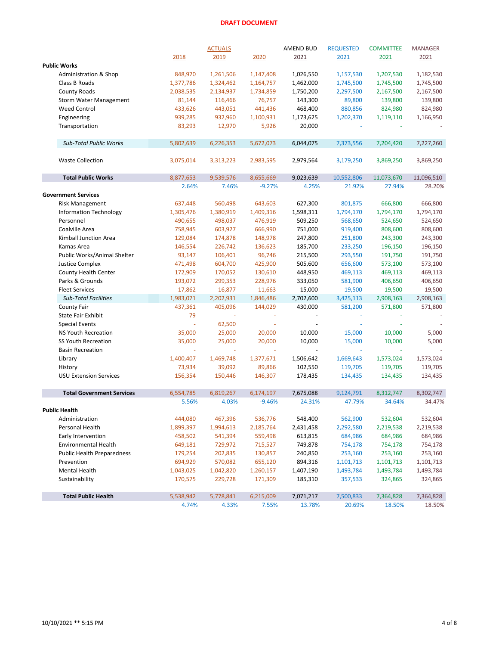|                                   |           | <b>ACTUALS</b> |           | AMEND BUD | <b>REQUESTED</b> | <b>COMMITTEE</b> | <b>MANAGER</b> |
|-----------------------------------|-----------|----------------|-----------|-----------|------------------|------------------|----------------|
|                                   | 2018      | 2019           | 2020      | 2021      | 2021             | 2021             | 2021           |
| <b>Public Works</b>               |           |                |           |           |                  |                  |                |
| Administration & Shop             | 848,970   | 1,261,506      | 1,147,408 | 1,026,550 | 1,157,530        | 1,207,530        | 1,182,530      |
| Class B Roads                     | 1,377,786 | 1,324,462      | 1,164,757 | 1,462,000 | 1,745,500        | 1,745,500        | 1,745,500      |
| <b>County Roads</b>               | 2,038,535 | 2,134,937      | 1,734,859 | 1,750,200 | 2,297,500        | 2,167,500        | 2,167,500      |
| <b>Storm Water Management</b>     | 81,144    | 116,466        | 76,757    | 143,300   | 89,800           | 139,800          | 139,800        |
| <b>Weed Control</b>               | 433,626   | 443,051        | 441,436   | 468,400   | 880,856          | 824,980          | 824,980        |
| Engineering                       | 939,285   | 932,960        | 1,100,931 | 1,173,625 | 1,202,370        | 1,119,110        | 1,166,950      |
| Transportation                    | 83,293    | 12,970         | 5,926     | 20,000    |                  |                  |                |
|                                   |           |                |           |           |                  |                  |                |
| <b>Sub-Total Public Works</b>     | 5,802,639 | 6,226,353      | 5,672,073 | 6,044,075 | 7,373,556        | 7,204,420        | 7,227,260      |
|                                   |           |                |           |           |                  |                  |                |
| <b>Waste Collection</b>           | 3,075,014 | 3,313,223      | 2,983,595 | 2,979,564 | 3,179,250        | 3,869,250        | 3,869,250      |
| <b>Total Public Works</b>         | 8,877,653 | 9,539,576      | 8,655,669 | 9,023,639 | 10,552,806       | 11,073,670       | 11,096,510     |
|                                   | 2.64%     | 7.46%          | $-9.27%$  | 4.25%     | 21.92%           | 27.94%           | 28.20%         |
| <b>Government Services</b>        |           |                |           |           |                  |                  |                |
| <b>Risk Management</b>            | 637,448   | 560,498        | 643,603   | 627,300   | 801,875          | 666,800          | 666,800        |
| <b>Information Technology</b>     | 1,305,476 | 1,380,919      | 1,409,316 | 1,598,311 | 1,794,170        | 1,794,170        | 1,794,170      |
| Personnel                         | 490,655   | 498,037        | 476,919   | 509,250   | 568,650          | 524,650          | 524,650        |
| Coalville Area                    | 758,945   | 603,927        | 666,990   | 751,000   | 919,400          | 808,600          | 808,600        |
| Kimball Junction Area             | 129,084   | 174,878        | 148,978   | 247,800   | 251,800          | 243,300          | 243,300        |
| Kamas Area                        | 146,554   | 226,742        | 136,623   | 185,700   | 233,250          | 196,150          | 196,150        |
| Public Works/Animal Shelter       | 93,147    | 106,401        | 96,746    | 215,500   | 293,550          | 191,750          | 191,750        |
| <b>Justice Complex</b>            | 471,498   | 604,700        | 425,900   | 505,600   | 656,600          | 573,100          | 573,100        |
| County Health Center              | 172,909   | 170,052        | 130,610   | 448,950   | 469,113          | 469,113          | 469,113        |
| Parks & Grounds                   | 193,072   | 299,353        | 228,976   | 333,050   | 581,900          | 406,650          | 406,650        |
| <b>Fleet Services</b>             | 17,862    | 16,877         | 11,663    | 15,000    | 19,500           | 19,500           | 19,500         |
| <b>Sub-Total Facilities</b>       | 1,983,071 | 2,202,931      | 1,846,486 | 2,702,600 | 3,425,113        | 2,908,163        | 2,908,163      |
| <b>County Fair</b>                | 437,361   | 405,096        | 144,029   | 430,000   | 581,200          | 571,800          | 571,800        |
| <b>State Fair Exhibit</b>         | 79        |                |           |           |                  |                  |                |
| <b>Special Events</b>             | ÷         | 62,500         |           |           |                  |                  |                |
| <b>NS Youth Recreation</b>        | 35,000    | 25,000         | 20,000    | 10,000    | 15,000           | 10,000           | 5,000          |
| SS Youth Recreation               | 35,000    | 25,000         | 20,000    | 10,000    | 15,000           | 10,000           | 5,000          |
| <b>Basin Recreation</b>           |           | ÷.             | $\omega$  | ÷,        | $\omega$         | ä,               |                |
| Library                           | 1,400,407 | 1,469,748      | 1,377,671 | 1,506,642 | 1,669,643        | 1,573,024        | 1,573,024      |
| History                           | 73,934    | 39,092         | 89,866    | 102,550   | 119,705          | 119,705          | 119,705        |
| <b>USU Extension Services</b>     | 156,354   | 150,446        | 146,307   | 178,435   | 134,435          | 134,435          | 134,435        |
|                                   |           |                |           |           |                  |                  |                |
| <b>Total Government Services</b>  | 6,554,785 | 6,819,267      | 6,174,197 | 7,675,088 | 9,124,791        | 8,312,747        | 8,302,747      |
|                                   | 5.56%     | 4.03%          | $-9.46%$  | 24.31%    | 47.79%           | 34.64%           | 34.47%         |
| <b>Public Health</b>              |           |                |           |           |                  |                  |                |
| Administration                    | 444,080   | 467,396        | 536,776   | 548,400   | 562,900          | 532,604          | 532,604        |
| Personal Health                   | 1,899,397 | 1,994,613      | 2,185,764 | 2,431,458 | 2,292,580        | 2,219,538        | 2,219,538      |
| Early Intervention                | 458,502   | 541,394        | 559,498   | 613,815   | 684,986          | 684,986          | 684,986        |
| <b>Environmental Health</b>       | 649,181   | 729,972        | 715,527   | 749,878   | 754,178          | 754,178          | 754,178        |
| <b>Public Health Preparedness</b> | 179,254   | 202,835        | 130,857   | 240,850   | 253,160          | 253,160          | 253,160        |
| Prevention                        | 694,929   | 570,082        | 655,120   | 894,316   | 1,101,713        | 1,101,713        | 1,101,713      |
| <b>Mental Health</b>              | 1,043,025 | 1,042,820      | 1,260,157 | 1,407,190 | 1,493,784        | 1,493,784        | 1,493,784      |
| Sustainability                    | 170,575   | 229,728        | 171,309   | 185,310   | 357,533          | 324,865          | 324,865        |
| <b>Total Public Health</b>        | 5,538,942 | 5,778,841      | 6,215,009 | 7,071,217 | 7,500,833        | 7,364,828        | 7,364,828      |
|                                   | 4.74%     | 4.33%          | 7.55%     | 13.78%    | 20.69%           | 18.50%           | 18.50%         |
|                                   |           |                |           |           |                  |                  |                |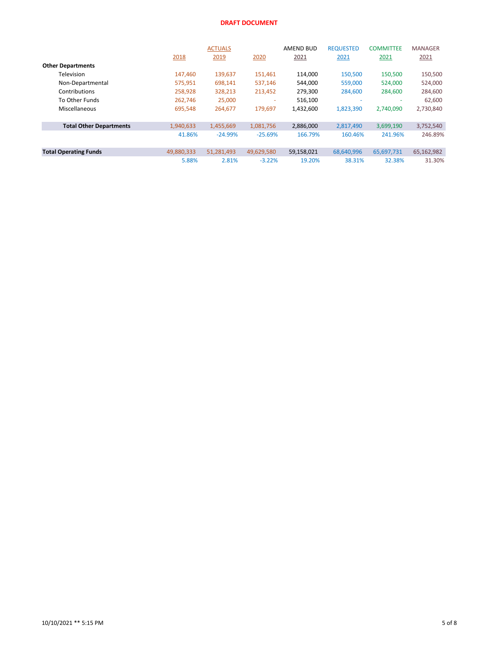|                                |            | <b>ACTUALS</b> |            | AMEND BUD  | <b>REQUESTED</b> | <b>COMMITTEE</b> | <b>MANAGER</b> |
|--------------------------------|------------|----------------|------------|------------|------------------|------------------|----------------|
|                                | 2018       | 2019           | 2020       | 2021       | 2021             | 2021             | 2021           |
| <b>Other Departments</b>       |            |                |            |            |                  |                  |                |
| Television                     | 147,460    | 139,637        | 151,461    | 114,000    | 150,500          | 150,500          | 150,500        |
| Non-Departmental               | 575,951    | 698,141        | 537.146    | 544.000    | 559,000          | 524,000          | 524,000        |
| Contributions                  | 258,928    | 328,213        | 213,452    | 279,300    | 284,600          | 284,600          | 284,600        |
| To Other Funds                 | 262.746    | 25,000         | ۰          | 516,100    |                  |                  | 62,600         |
| Miscellaneous                  | 695,548    | 264,677        | 179.697    | 1,432,600  | 1,823,390        | 2.740.090        | 2,730,840      |
| <b>Total Other Departments</b> | 1,940,633  | 1,455,669      | 1,081,756  | 2,886,000  | 2,817,490        | 3,699,190        | 3,752,540      |
|                                | 41.86%     | $-24.99%$      | $-25.69%$  | 166.79%    | 160.46%          | 241.96%          | 246.89%        |
| <b>Total Operating Funds</b>   | 49,880,333 | 51,281,493     | 49,629,580 | 59,158,021 | 68,640,996       | 65,697,731       | 65,162,982     |
|                                | 5.88%      | 2.81%          | $-3.22%$   | 19.20%     | 38.31%           | 32.38%           | 31.30%         |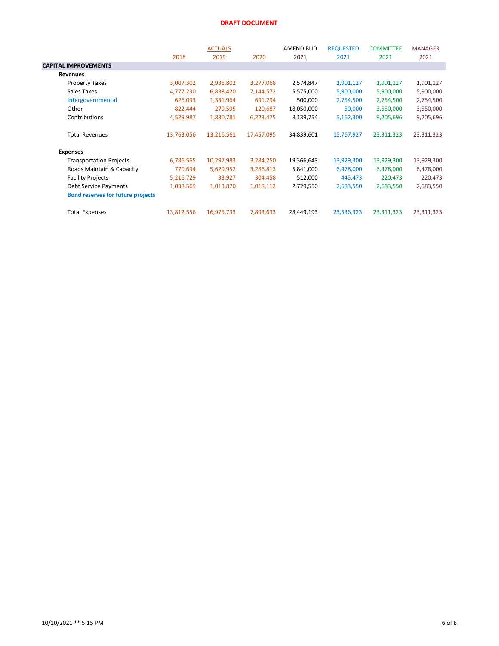|                                          |            | <b>ACTUALS</b> |            | AMEND BUD  | <b>REQUESTED</b> | <b>COMMITTEE</b> | <b>MANAGER</b> |
|------------------------------------------|------------|----------------|------------|------------|------------------|------------------|----------------|
|                                          | 2018       | 2019           | 2020       | 2021       | 2021             | 2021             | 2021           |
| <b>CAPITAL IMPROVEMENTS</b>              |            |                |            |            |                  |                  |                |
| <b>Revenues</b>                          |            |                |            |            |                  |                  |                |
| <b>Property Taxes</b>                    | 3,007,302  | 2,935,802      | 3,277,068  | 2,574,847  | 1,901,127        | 1,901,127        | 1,901,127      |
| Sales Taxes                              | 4,777,230  | 6,838,420      | 7,144,572  | 5,575,000  | 5,900,000        | 5,900,000        | 5,900,000      |
| Intergovernmental                        | 626,093    | 1,331,964      | 691,294    | 500,000    | 2,754,500        | 2,754,500        | 2,754,500      |
| Other                                    | 822,444    | 279,595        | 120,687    | 18,050,000 | 50,000           | 3,550,000        | 3,550,000      |
| Contributions                            | 4,529,987  | 1,830,781      | 6,223,475  | 8,139,754  | 5,162,300        | 9,205,696        | 9,205,696      |
| <b>Total Revenues</b>                    | 13,763,056 | 13,216,561     | 17,457,095 | 34,839,601 | 15,767,927       | 23,311,323       | 23,311,323     |
| <b>Expenses</b>                          |            |                |            |            |                  |                  |                |
| <b>Transportation Projects</b>           | 6,786,565  | 10,297,983     | 3,284,250  | 19,366,643 | 13,929,300       | 13,929,300       | 13,929,300     |
| Roads Maintain & Capacity                | 770,694    | 5,629,952      | 3,286,813  | 5,841,000  | 6,478,000        | 6,478,000        | 6,478,000      |
| <b>Facility Projects</b>                 | 5,216,729  | 33,927         | 304,458    | 512,000    | 445,473          | 220,473          | 220,473        |
| <b>Debt Service Payments</b>             | 1,038,569  | 1,013,870      | 1,018,112  | 2,729,550  | 2,683,550        | 2,683,550        | 2,683,550      |
| <b>Bond reserves for future projects</b> |            |                |            |            |                  |                  |                |
| <b>Total Expenses</b>                    | 13,812,556 | 16,975,733     | 7,893,633  | 28,449,193 | 23,536,323       | 23,311,323       | 23,311,323     |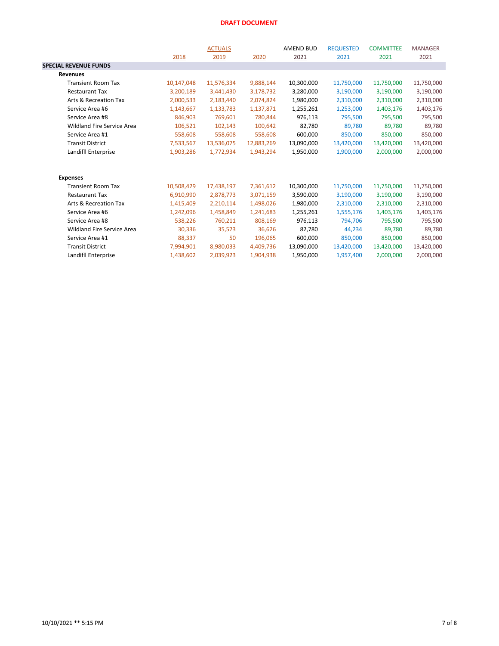|                                   | 2018       | <b>ACTUALS</b><br>2019 | 2020       | <b>AMEND BUD</b><br>2021 | <b>REQUESTED</b><br>2021 | <b>COMMITTEE</b><br>2021 | <b>MANAGER</b><br>2021 |
|-----------------------------------|------------|------------------------|------------|--------------------------|--------------------------|--------------------------|------------------------|
| <b>SPECIAL REVENUE FUNDS</b>      |            |                        |            |                          |                          |                          |                        |
| <b>Revenues</b>                   |            |                        |            |                          |                          |                          |                        |
| <b>Transient Room Tax</b>         | 10,147,048 | 11,576,334             | 9,888,144  | 10,300,000               | 11,750,000               | 11,750,000               | 11,750,000             |
| <b>Restaurant Tax</b>             | 3,200,189  | 3,441,430              | 3,178,732  | 3,280,000                | 3,190,000                | 3,190,000                | 3,190,000              |
| Arts & Recreation Tax             | 2,000,533  | 2,183,440              | 2,074,824  | 1,980,000                | 2,310,000                | 2,310,000                | 2,310,000              |
| Service Area #6                   | 1,143,667  | 1,133,783              | 1,137,871  | 1,255,261                | 1,253,000                | 1,403,176                | 1,403,176              |
| Service Area #8                   | 846,903    | 769,601                | 780,844    | 976,113                  | 795,500                  | 795,500                  | 795,500                |
| <b>Wildland Fire Service Area</b> | 106,521    | 102,143                | 100,642    | 82,780                   | 89,780                   | 89,780                   | 89,780                 |
| Service Area #1                   | 558,608    | 558,608                | 558,608    | 600,000                  | 850,000                  | 850,000                  | 850,000                |
| <b>Transit District</b>           | 7,533,567  | 13,536,075             | 12,883,269 | 13,090,000               | 13,420,000               | 13,420,000               | 13,420,000             |
| Landifll Enterprise               | 1,903,286  | 1,772,934              | 1,943,294  | 1,950,000                | 1,900,000                | 2,000,000                | 2,000,000              |
| <b>Expenses</b>                   |            |                        |            |                          |                          |                          |                        |
| <b>Transient Room Tax</b>         | 10,508,429 | 17,438,197             | 7,361,612  | 10,300,000               | 11,750,000               | 11,750,000               | 11,750,000             |
| <b>Restaurant Tax</b>             | 6,910,990  | 2,878,773              | 3,071,159  | 3,590,000                | 3,190,000                | 3,190,000                | 3,190,000              |
| Arts & Recreation Tax             | 1,415,409  | 2,210,114              | 1,498,026  | 1,980,000                | 2,310,000                | 2,310,000                | 2,310,000              |
| Service Area #6                   | 1,242,096  | 1,458,849              | 1,241,683  | 1,255,261                | 1,555,176                | 1,403,176                | 1,403,176              |
| Service Area #8                   | 538,226    | 760,211                | 808,169    | 976,113                  | 794,706                  | 795,500                  | 795,500                |
| Wildland Fire Service Area        | 30,336     | 35,573                 | 36,626     | 82,780                   | 44,234                   | 89,780                   | 89,780                 |
| Service Area #1                   | 88,337     | 50                     | 196,065    | 600,000                  | 850,000                  | 850,000                  | 850,000                |
| <b>Transit District</b>           | 7,994,901  | 8,980,033              | 4,409,736  | 13,090,000               | 13,420,000               | 13,420,000               | 13,420,000             |
| Landifll Enterprise               | 1,438,602  | 2,039,923              | 1,904,938  | 1,950,000                | 1,957,400                | 2,000,000                | 2,000,000              |
|                                   |            |                        |            |                          |                          |                          |                        |